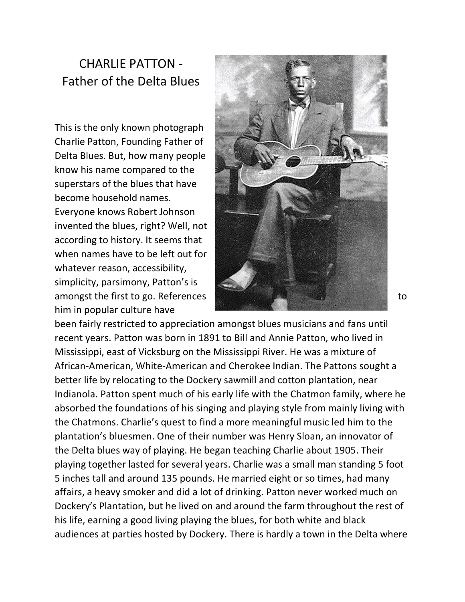## CHARLIE PATTON - Father of the Delta Blues

This is the only known photograph Charlie Patton, Founding Father of Delta Blues. But, how many people know his name compared to the superstars of the blues that have become household names. Everyone knows Robert Johnson invented the blues, right? Well, not according to history. It seems that when names have to be left out for whatever reason, accessibility, simplicity, parsimony, Patton's is him in popular culture have



been fairly restricted to appreciation amongst blues musicians and fans until recent years. Patton was born in 1891 to Bill and Annie Patton, who lived in Mississippi, east of Vicksburg on the Mississippi River. He was a mixture of African-American, White-American and Cherokee Indian. The Pattons sought a better life by relocating to the Dockery sawmill and cotton plantation, near Indianola. Patton spent much of his early life with the Chatmon family, where he absorbed the foundations of his singing and playing style from mainly living with the Chatmons. Charlie's quest to find a more meaningful music led him to the plantation's bluesmen. One of their number was Henry Sloan, an innovator of the Delta blues way of playing. He began teaching Charlie about 1905. Their playing together lasted for several years. Charlie was a small man standing 5 foot 5 inches tall and around 135 pounds. He married eight or so times, had many affairs, a heavy smoker and did a lot of drinking. Patton never worked much on Dockery's Plantation, but he lived on and around the farm throughout the rest of his life, earning a good living playing the blues, for both white and black audiences at parties hosted by Dockery. There is hardly a town in the Delta where